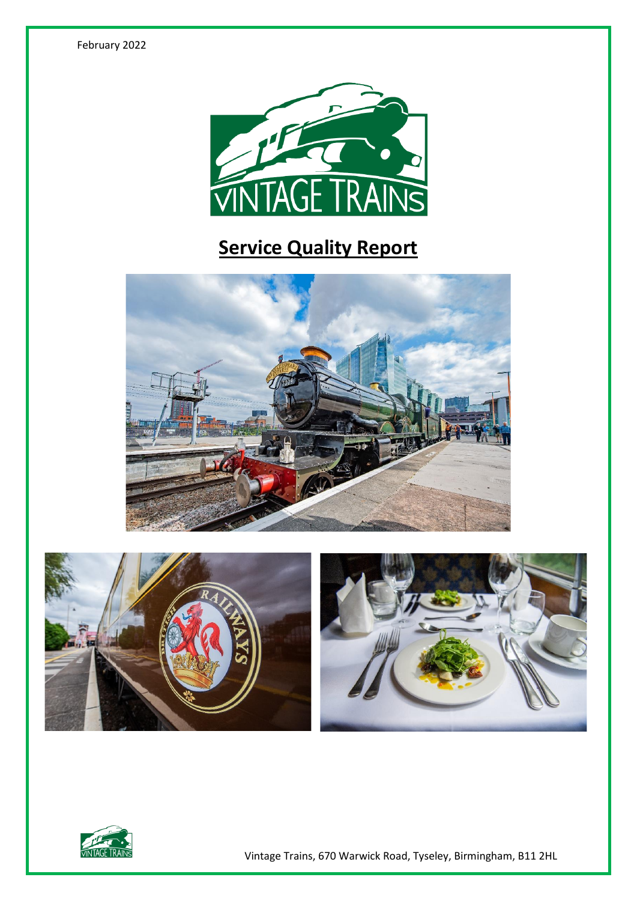

# **Service Quality Report**









Vintage Trains, 670 Warwick Road, Tyseley, Birmingham, B11 2HL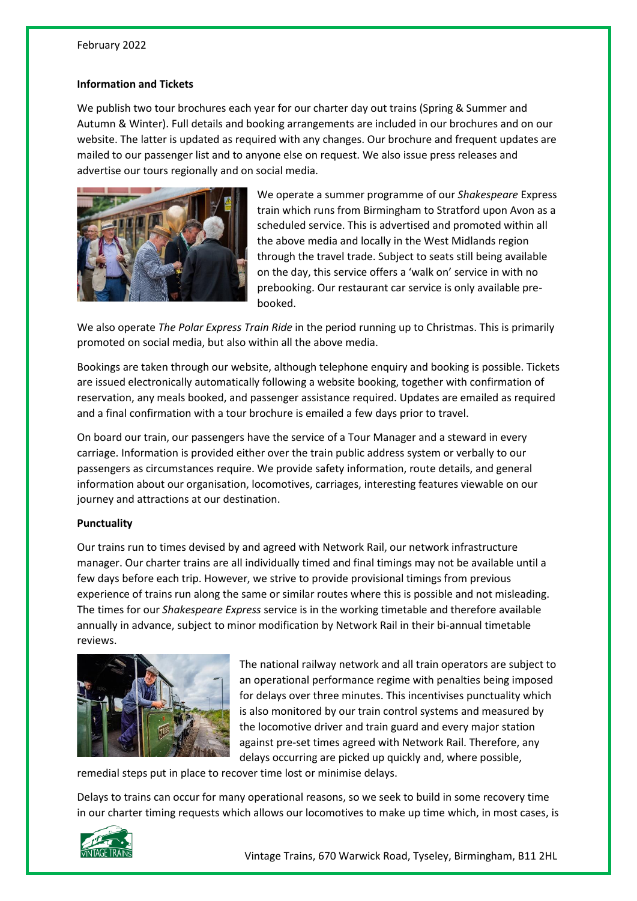## February 2022

#### **Information and Tickets**

We publish two tour brochures each year for our charter day out trains (Spring & Summer and Autumn & Winter). Full details and booking arrangements are included in our brochures and on our website. The latter is updated as required with any changes. Our brochure and frequent updates are mailed to our passenger list and to anyone else on request. We also issue press releases and advertise our tours regionally and on social media.



We operate a summer programme of our *Shakespeare* Express train which runs from Birmingham to Stratford upon Avon as a scheduled service. This is advertised and promoted within all the above media and locally in the West Midlands region through the travel trade. Subject to seats still being available on the day, this service offers a 'walk on' service in with no prebooking. Our restaurant car service is only available prebooked.

We also operate *The Polar Express Train Ride* in the period running up to Christmas. This is primarily promoted on social media, but also within all the above media.

Bookings are taken through our website, although telephone enquiry and booking is possible. Tickets are issued electronically automatically following a website booking, together with confirmation of reservation, any meals booked, and passenger assistance required. Updates are emailed as required and a final confirmation with a tour brochure is emailed a few days prior to travel.

On board our train, our passengers have the service of a Tour Manager and a steward in every carriage. Information is provided either over the train public address system or verbally to our passengers as circumstances require. We provide safety information, route details, and general information about our organisation, locomotives, carriages, interesting features viewable on our journey and attractions at our destination.

#### **Punctuality**

Our trains run to times devised by and agreed with Network Rail, our network infrastructure manager. Our charter trains are all individually timed and final timings may not be available until a few days before each trip. However, we strive to provide provisional timings from previous experience of trains run along the same or similar routes where this is possible and not misleading. The times for our *Shakespeare Express* service is in the working timetable and therefore available annually in advance, subject to minor modification by Network Rail in their bi-annual timetable reviews.



The national railway network and all train operators are subject to an operational performance regime with penalties being imposed for delays over three minutes. This incentivises punctuality which is also monitored by our train control systems and measured by the locomotive driver and train guard and every major station against pre-set times agreed with Network Rail. Therefore, any delays occurring are picked up quickly and, where possible,

remedial steps put in place to recover time lost or minimise delays.

Delays to trains can occur for many operational reasons, so we seek to build in some recovery time in our charter timing requests which allows our locomotives to make up time which, in most cases, is

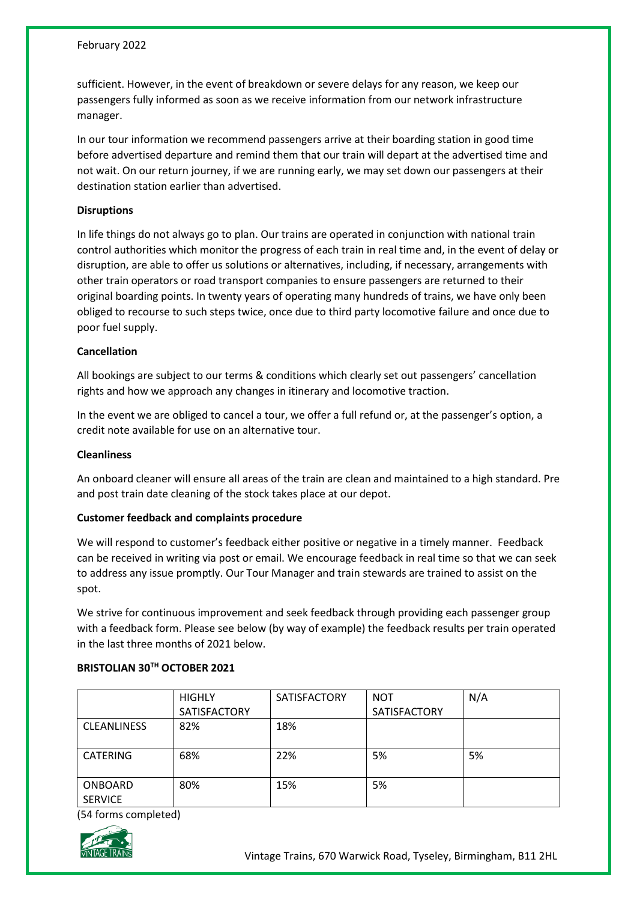# February 2022

sufficient. However, in the event of breakdown or severe delays for any reason, we keep our passengers fully informed as soon as we receive information from our network infrastructure manager.

In our tour information we recommend passengers arrive at their boarding station in good time before advertised departure and remind them that our train will depart at the advertised time and not wait. On our return journey, if we are running early, we may set down our passengers at their destination station earlier than advertised.

#### **Disruptions**

In life things do not always go to plan. Our trains are operated in conjunction with national train control authorities which monitor the progress of each train in real time and, in the event of delay or disruption, are able to offer us solutions or alternatives, including, if necessary, arrangements with other train operators or road transport companies to ensure passengers are returned to their original boarding points. In twenty years of operating many hundreds of trains, we have only been obliged to recourse to such steps twice, once due to third party locomotive failure and once due to poor fuel supply.

#### **Cancellation**

All bookings are subject to our terms & conditions which clearly set out passengers' cancellation rights and how we approach any changes in itinerary and locomotive traction.

In the event we are obliged to cancel a tour, we offer a full refund or, at the passenger's option, a credit note available for use on an alternative tour.

#### **Cleanliness**

An onboard cleaner will ensure all areas of the train are clean and maintained to a high standard. Pre and post train date cleaning of the stock takes place at our depot.

#### **Customer feedback and complaints procedure**

We will respond to customer's feedback either positive or negative in a timely manner. Feedback can be received in writing via post or email. We encourage feedback in real time so that we can seek to address any issue promptly. Our Tour Manager and train stewards are trained to assist on the spot.

We strive for continuous improvement and seek feedback through providing each passenger group with a feedback form. Please see below (by way of example) the feedback results per train operated in the last three months of 2021 below.

|                    | <b>HIGHLY</b>       | <b>SATISFACTORY</b> | <b>NOT</b>   | N/A |
|--------------------|---------------------|---------------------|--------------|-----|
|                    | <b>SATISFACTORY</b> |                     | SATISFACTORY |     |
| <b>CLEANLINESS</b> | 82%                 | 18%                 |              |     |
|                    |                     |                     |              |     |
| <b>CATERING</b>    | 68%                 | 22%                 | 5%           | 5%  |
|                    |                     |                     |              |     |
| ONBOARD            | 80%                 | 15%                 | 5%           |     |
| <b>SERVICE</b>     |                     |                     |              |     |

#### **BRISTOLIAN 30TH OCTOBER 2021**

(54 forms completed)



Vintage Trains, 670 Warwick Road, Tyseley, Birmingham, B11 2HL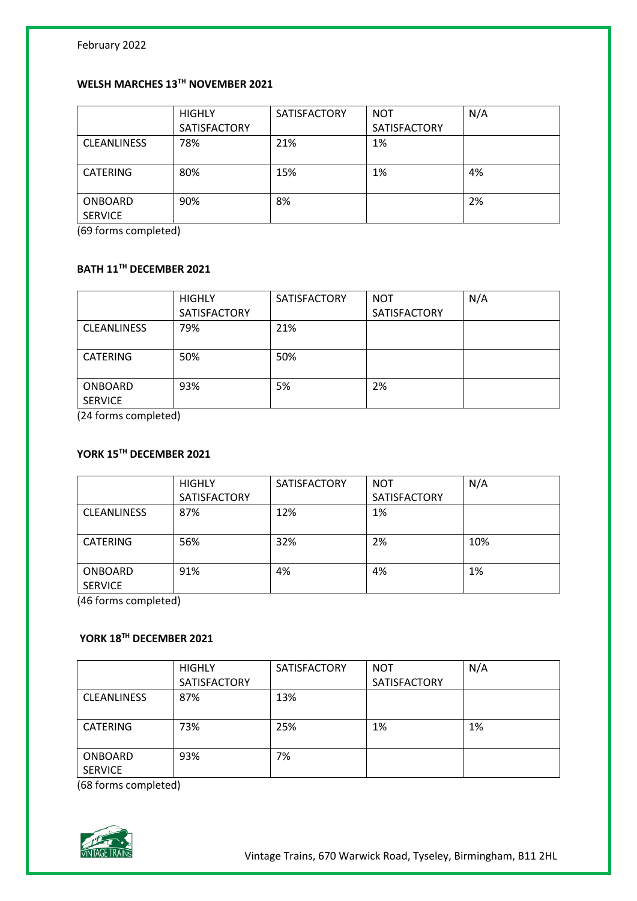# **WELSH MARCHES 13TH NOVEMBER 2021**

| <b>HIGHLY</b> | SATISFACTORY | <b>NOT</b>   | N/A |
|---------------|--------------|--------------|-----|
| SATISFACTORY  |              | SATISFACTORY |     |
| 78%           | 21%          | 1%           |     |
|               |              |              |     |
| 80%           | 15%          | 1%           | 4%  |
|               |              |              |     |
| 90%           | 8%           |              | 2%  |
|               |              |              |     |
|               |              |              |     |

(69 forms completed)

# **BATH 11TH DECEMBER 2021**

| <b>HIGHLY</b> | SATISFACTORY | <b>NOT</b>   | N/A |
|---------------|--------------|--------------|-----|
| SATISFACTORY  |              | SATISFACTORY |     |
| 79%           | 21%          |              |     |
|               |              |              |     |
| 50%           | 50%          |              |     |
|               |              |              |     |
| 93%           | 5%           | 2%           |     |
|               |              |              |     |
|               |              |              |     |

(24 forms completed)

# **YORK 15TH DECEMBER 2021**

|                    | <b>HIGHLY</b><br>SATISFACTORY | <b>SATISFACTORY</b> | <b>NOT</b><br>SATISFACTORY | N/A |
|--------------------|-------------------------------|---------------------|----------------------------|-----|
| <b>CLEANLINESS</b> | 87%                           | 12%                 | 1%                         |     |
|                    |                               |                     |                            |     |
| <b>CATERING</b>    | 56%                           | 32%                 | 2%                         | 10% |
|                    |                               |                     |                            |     |
| ONBOARD            | 91%                           | 4%                  | 4%                         | 1%  |
| <b>SERVICE</b>     |                               |                     |                            |     |

(46 forms completed)

# **YORK 18TH DECEMBER 2021**

|                           | <b>HIGHLY</b> | SATISFACTORY | <b>NOT</b>   | N/A |
|---------------------------|---------------|--------------|--------------|-----|
|                           | SATISFACTORY  |              | SATISFACTORY |     |
| <b>CLEANLINESS</b>        | 87%           | 13%          |              |     |
| <b>CATERING</b>           | 73%           | 25%          | 1%           | 1%  |
| ONBOARD<br><b>SERVICE</b> | 93%           | 7%           |              |     |

(68 forms completed)